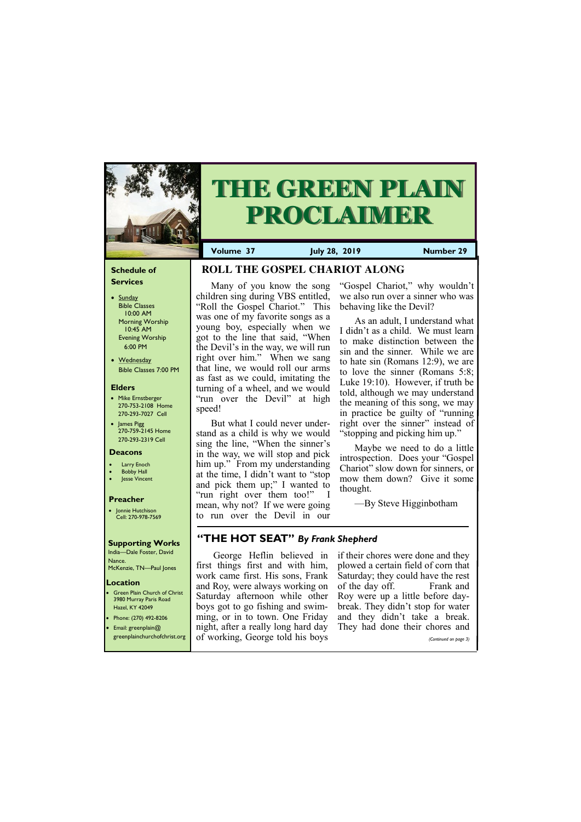## **Schedule of Services**

- Sunday Bible Classes 10:00 AM Morning Worship 10:45 AM Evening Worship 6:00 PM
- Wednesday Bible Classes 7:00 PM

### **Elders**

- Mike Ernstberger 270-753-2108 Home 270-293-7027 Cell
- James Pigg 270-759-2145 Home 270-293-2319 Cell

#### **Location**

• Green Plain Church of Christ 3980 Murray Paris Road Hazel, KY 42049 • Phone: (270) 492-8206



# **THE GREEN PLAIN PROCLAIMER**

**Volume 37 July 28, 2019 Number 29**

#### **Deacons**

- **Larry Enoch**
- **Bobby Hall**
- Jesse Vincent

### **Preacher**

• Jonnie Hutchison Cell: 270-978-7569

### **Supporting Works**

India—Dale Foster, David Nance. McKenzie, TN—Paul Jones

## **ROLL THE GOSPEL CHARIOT ALONG**

Many of you know the song children sing during VBS entitled, "Roll the Gospel Chariot." This was one of my favorite songs as a young boy, especially when we got to the line that said, "When the Devil's in the way, we will run right over him." When we sang that line, we would roll our arms as fast as we could, imitating the turning of a wheel, and we would "run over the Devil" at high speed!

But what I could never understand as a child is why we would sing the line, "When the sinner's in the way, we will stop and pick him up." From my understanding at the time, I didn't want to "stop and pick them up;" I wanted to "run right over them too!" mean, why not? If we were going to run over the Devil in our

"Gospel Chariot," why wouldn't we also run over a sinner who was behaving like the Devil?

| <b>•</b> Email: greenplain@ | night, after a really long hard day They had done their chores and    |                       |
|-----------------------------|-----------------------------------------------------------------------|-----------------------|
|                             | <b>Streenplainchurchofchrist.org</b> of working, George told his boys | (Continued on page 3) |

As an adult, I understand what I didn't as a child. We must learn to make distinction between the sin and the sinner. While we are to hate sin (Romans 12:9), we are to love the sinner (Romans 5:8; Luke 19:10). However, if truth be told, although we may understand the meaning of this song, we may in practice be guilty of "running right over the sinner" instead of "stopping and picking him up."

Maybe we need to do a little introspection. Does your "Gospel Chariot" slow down for sinners, or mow them down? Give it some thought.

—By Steve Higginbotham

## **"THE HOT SEAT"** *By Frank Shepherd*

first things first and with him, work came first. His sons, Frank and Roy, were always working on Saturday afternoon while other boys got to go fishing and swimming, or in to town. One Friday

George Heflin believed in if their chores were done and they plowed a certain field of corn that Saturday; they could have the rest of the day off. Frank and Roy were up a little before daybreak. They didn't stop for water and they didn't take a break.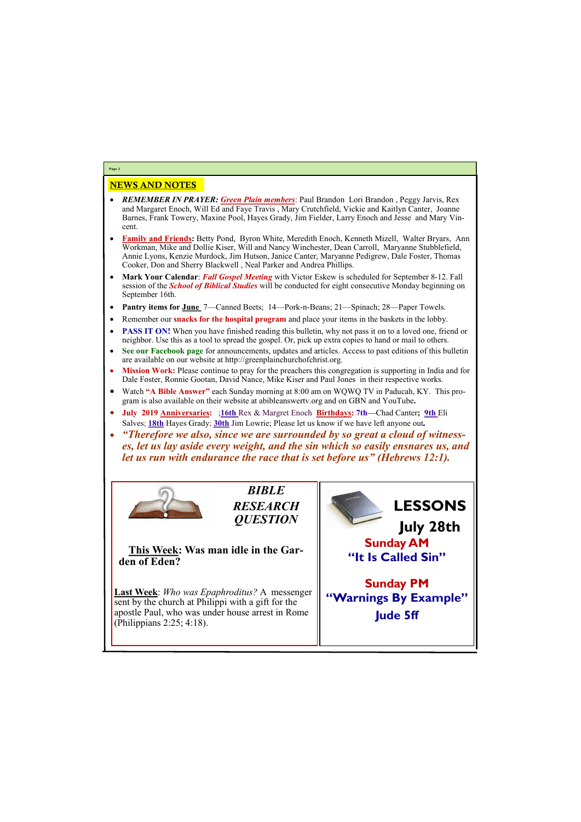## NEWS AND NOTES

- *REMEMBER IN PRAYER: Green Plain members*: Paul Brandon Lori Brandon , Peggy Jarvis, Rex and Margaret Enoch, Will Ed and Faye Travis , Mary Crutchfield, Vickie and Kaitlyn Canter, Joanne Barnes, Frank Towery, Maxine Pool, Hayes Grady, Jim Fielder, Larry Enoch and Jesse and Mary Vincent.
- **Family and Friends:** Betty Pond, Byron White, Meredith Enoch, Kenneth Mizell, Walter Bryars, Ann Workman, Mike and Dollie Kiser, Will and Nancy Winchester, Dean Carroll, Maryanne Stubblefield, Annie Lyons, Kenzie Murdock, Jim Hutson, Janice Canter, Maryanne Pedigrew, Dale Foster, Thomas Cooker, Don and Sherry Blackwell , Neal Parker and Andrea Phillips.
- **Mark Your Calendar**: *Fall Gospel Meeting* with Victor Eskew is scheduled for September 8-12. Fall session of the *School of Biblical Studies* will be conducted for eight consecutive Monday beginning on September 16th.
- **Pantry items for June** 7—Canned Beets; 14—Pork-n-Beans; 21—Spinach; 28—Paper Towels.
- Remember our **snacks for the hospital program** and place your items in the baskets in the lobby.
- **PASS IT ON!** When you have finished reading this bulletin, why not pass it on to a loved one, friend or neighbor. Use this as a tool to spread the gospel. Or, pick up extra copies to hand or mail to others.
- **See our Facebook page** for announcements, updates and articles. Access to past editions of this bulletin are available on our website at http://greenplainchurchofchrist.org.
- **Mission Work:** Please continue to pray for the preachers this congregation is supporting in India and for Dale Foster, Ronnie Gootan, David Nance, Mike Kiser and Paul Jones in their respective works.
- Watch **"A Bible Answer"** each Sunday morning at 8:00 am on WQWQ TV in Paducah, KY. This program is also available on their website at abibleanswertv.org and on GBN and YouTube**.**
- **July 2019 Anniversaries:** ;**16th** Rex & Margret Enoch **Birthdays: 7th—**Chad Canter**; 9th** Eli Salves; **18th** Hayes Grady; **30th** Jim Lowrie; Please let us know if we have left anyone out*.*
- *"Therefore we also, since we are surrounded by so great a cloud of witnesses, let us lay aside every weight, and the sin which so easily ensnares us, and let us run with endurance the race that is set before us" (Hebrews 12:1).*



**Page 2**

*BIBLE RESEARCH QUESTION*

**This Week: Was man idle in the Garden of Eden?**

**Last Week**: *Who was Epaphroditus?* A messenger sent by the church at Philippi with a gift for the apostle Paul, who was under house arrest in Rome

| (Philippians 2:25; 4:18). | . |
|---------------------------|---|
|                           |   |

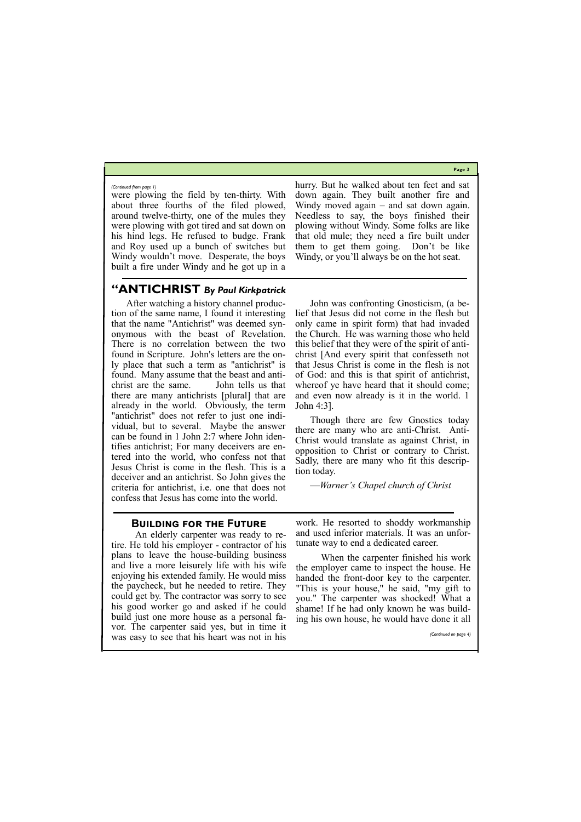**Page 3**

## **"ANTICHRIST** *By Paul Kirkpatrick*

After watching a history channel production of the same name, I found it interesting that the name "Antichrist" was deemed synonymous with the beast of Revelation. There is no correlation between the two found in Scripture. John's letters are the only place that such a term as "antichrist" is found. Many assume that the beast and antichrist are the same. John tells us that there are many antichrists [plural] that are already in the world. Obviously, the term "antichrist" does not refer to just one individual, but to several. Maybe the answer can be found in 1 John 2:7 where John identifies antichrist; For many deceivers are entered into the world, who confess not that Jesus Christ is come in the flesh. This is a deceiver and an antichrist. So John gives the criteria for antichrist, i.e. one that does not confess that Jesus has come into the world.

John was confronting Gnosticism, (a belief that Jesus did not come in the flesh but only came in spirit form) that had invaded the Church. He was warning those who held this belief that they were of the spirit of antichrist [And every spirit that confesseth not that Jesus Christ is come in the flesh is not of God: and this is that spirit of antichrist, whereof ye have heard that it should come; and even now already is it in the world. 1 John 4:3].

Though there are few Gnostics today there are many who are anti-Christ. Anti-Christ would translate as against Christ, in opposition to Christ or contrary to Christ. Sadly, there are many who fit this description today.

—*Warner's Chapel church of Christ*

were plowing the field by ten-thirty. With about three fourths of the filed plowed, around twelve-thirty, one of the mules they were plowing with got tired and sat down on his hind legs. He refused to budge. Frank and Roy used up a bunch of switches but Windy wouldn't move. Desperate, the boys built a fire under Windy and he got up in a

## hurry. But he walked about ten feet and sat down again. They built another fire and Windy moved again – and sat down again. Needless to say, the boys finished their plowing without Windy. Some folks are like that old mule; they need a fire built under them to get them going. Don't be like Windy, or you'll always be on the hot seat.

#### *(Continued from page 1)*

## **Building for the Future**

 An elderly carpenter was ready to retire. He told his employer - contractor of his plans to leave the house-building business and live a more leisurely life with his wife enjoying his extended family. He would miss the paycheck, but he needed to retire. They could get by. The contractor was sorry to see his good worker go and asked if he could build just one more house as a personal fa-

work. He resorted to shoddy workmanship and used inferior materials. It was an unfortunate way to end a dedicated career.

| vor. The carpenter said yes, but in time it   | $\frac{1}{100}$ and $\frac{1}{100}$ and $\frac{1}{100}$ and $\frac{1}{100}$ are $\frac{1}{100}$ and $\frac{1}{100}$ and $\frac{1}{100}$ and $\frac{1}{100}$ |
|-----------------------------------------------|-------------------------------------------------------------------------------------------------------------------------------------------------------------|
| was easy to see that his heart was not in his | (Continued on page 4)                                                                                                                                       |

 When the carpenter finished his work the employer came to inspect the house. He handed the front-door key to the carpenter. "This is your house," he said, "my gift to you." The carpenter was shocked! What a shame! If he had only known he was building his own house, he would have done it all